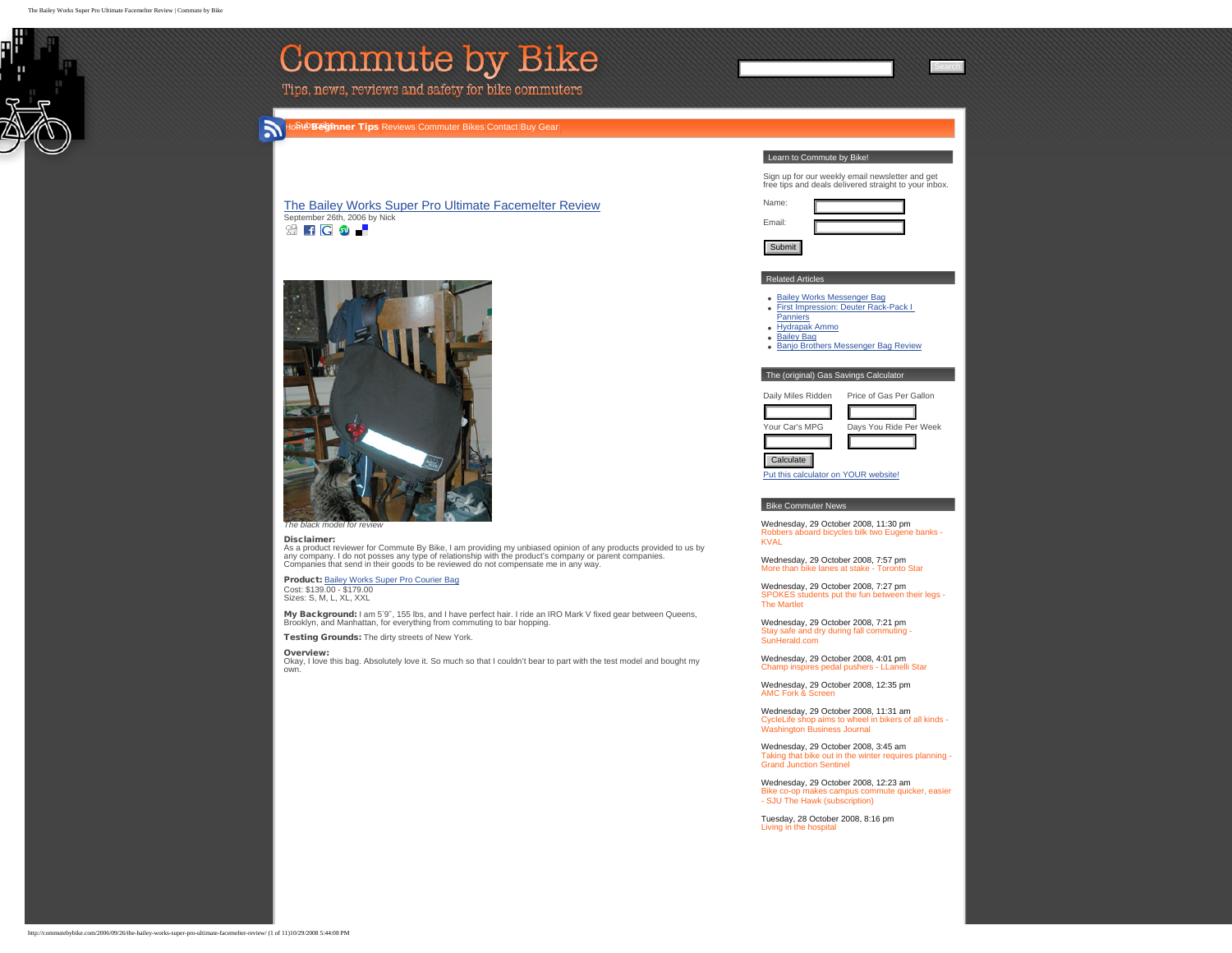<span id="page-0-0"></span>ш

H

| Commute by Bike<br>Tips, news, reviews and safety for bike commuters                                                                                                                                                                                                                                                                                                                                                                                                                                                                                                                                                                                                                                                        |                                                                                                                                                                                                                                                                                                                                                                                               |
|-----------------------------------------------------------------------------------------------------------------------------------------------------------------------------------------------------------------------------------------------------------------------------------------------------------------------------------------------------------------------------------------------------------------------------------------------------------------------------------------------------------------------------------------------------------------------------------------------------------------------------------------------------------------------------------------------------------------------------|-----------------------------------------------------------------------------------------------------------------------------------------------------------------------------------------------------------------------------------------------------------------------------------------------------------------------------------------------------------------------------------------------|
| Б<br>loମ୍ପିଡ <b>ଅର୍ତ୍ତମନାନ Tips</b> Reviews Commuter Bikes Contact Buy Gear                                                                                                                                                                                                                                                                                                                                                                                                                                                                                                                                                                                                                                                 |                                                                                                                                                                                                                                                                                                                                                                                               |
| The Bailey Works Super Pro Ultimate Facemelter Review<br>September 26th, 2006 by Nick<br>3 FC 9 F                                                                                                                                                                                                                                                                                                                                                                                                                                                                                                                                                                                                                           | Learn to Commute by Bike!<br>Sign up for our weekly email newsletter and get<br>free tips and deals delivered straight to your inbox.<br>Name:<br>Email:<br>Submit                                                                                                                                                                                                                            |
|                                                                                                                                                                                                                                                                                                                                                                                                                                                                                                                                                                                                                                                                                                                             | <b>Related Articles</b><br>• Bailey Works Messenger Bag<br>First Impression: Deuter Rack-Pack I<br>$\bullet$<br>Panniers<br>• Hydrapak Ammo<br>• Bailey Bag<br>Banjo Brothers Messenger Bag Review<br>The (original) Gas Savings Calculator<br>Daily Miles Ridden<br>Price of Gas Per Gallon<br>Your Car's MPG<br>Days You Ride Per Week<br>Calculate<br>Put this calculator on YOUR website! |
| The black model for review<br>Disclaimer:<br>As a product reviewer for Commute By Bike, I am providing my unbiased opinion of any products provided to us by<br>any company. I do not posses any type of relationship with the product's company or parent companies.<br>Companies that send in their goods to be reviewed do not compensate me in any way.<br>Product: Bailey Works Super Pro Courier Bag<br>Cost: \$139.00 - \$179.00<br>Sizes: S, M, L, XL, XXL<br>My Background: I am 5'9", 155 lbs, and I have perfect hair. I ride an IRO Mark V fixed gear between Queens,<br>Brooklyn, and Manhattan, for everything from commuting to bar hopping.<br>Testing Grounds: The dirty streets of New York.<br>Overview: | <b>Bike Commuter News</b><br>Wednesday, 29 October 2008, 11:30 pm<br>Robbers aboard bicycles bilk two Eugene banks -<br><b>KVAL</b><br>Wednesday, 29 October 2008, 7:57 pm<br>More than bike lanes at stake - Toronto Star<br>Wednesday, 29 October 2008, 7:27 pm                                                                                                                             |
|                                                                                                                                                                                                                                                                                                                                                                                                                                                                                                                                                                                                                                                                                                                             | SPOKES students put the fun between their legs -<br><b>The Martlet</b><br>Wednesday, 29 October 2008, 7:21 pm<br>Stay safe and dry during fall commuting -<br>SunHerald.com<br>Wednesday, 29 October 2008, 4:01 pm                                                                                                                                                                            |
| Okay, I love this bag. Absolutely love it. So much so that I couldn't bear to part with the test model and bought my<br>own.                                                                                                                                                                                                                                                                                                                                                                                                                                                                                                                                                                                                | Champ inspires pedal pushers - LLanelli Star<br>Wednesday, 29 October 2008, 12:35 pm<br><b>AMC Fork &amp; Screen</b><br>Wednesday, 29 October 2008, 11:31 am<br>CycleLife shop aims to wheel in bikers of all kinds -<br><b>Washington Business Journal</b>                                                                                                                                   |
|                                                                                                                                                                                                                                                                                                                                                                                                                                                                                                                                                                                                                                                                                                                             | Wednesday, 29 October 2008, 3:45 am<br>Taking that bike out in the winter requires planning<br><b>Grand Junction Sentinel</b>                                                                                                                                                                                                                                                                 |
|                                                                                                                                                                                                                                                                                                                                                                                                                                                                                                                                                                                                                                                                                                                             | Wednesday, 29 October 2008, 12:23 am<br>Bike co-op makes campus commute quicker, easier<br>- SJU The Hawk (subscription)                                                                                                                                                                                                                                                                      |
|                                                                                                                                                                                                                                                                                                                                                                                                                                                                                                                                                                                                                                                                                                                             | Tuesday, 28 October 2008, 8:16 pm<br>Living in the hospital                                                                                                                                                                                                                                                                                                                                   |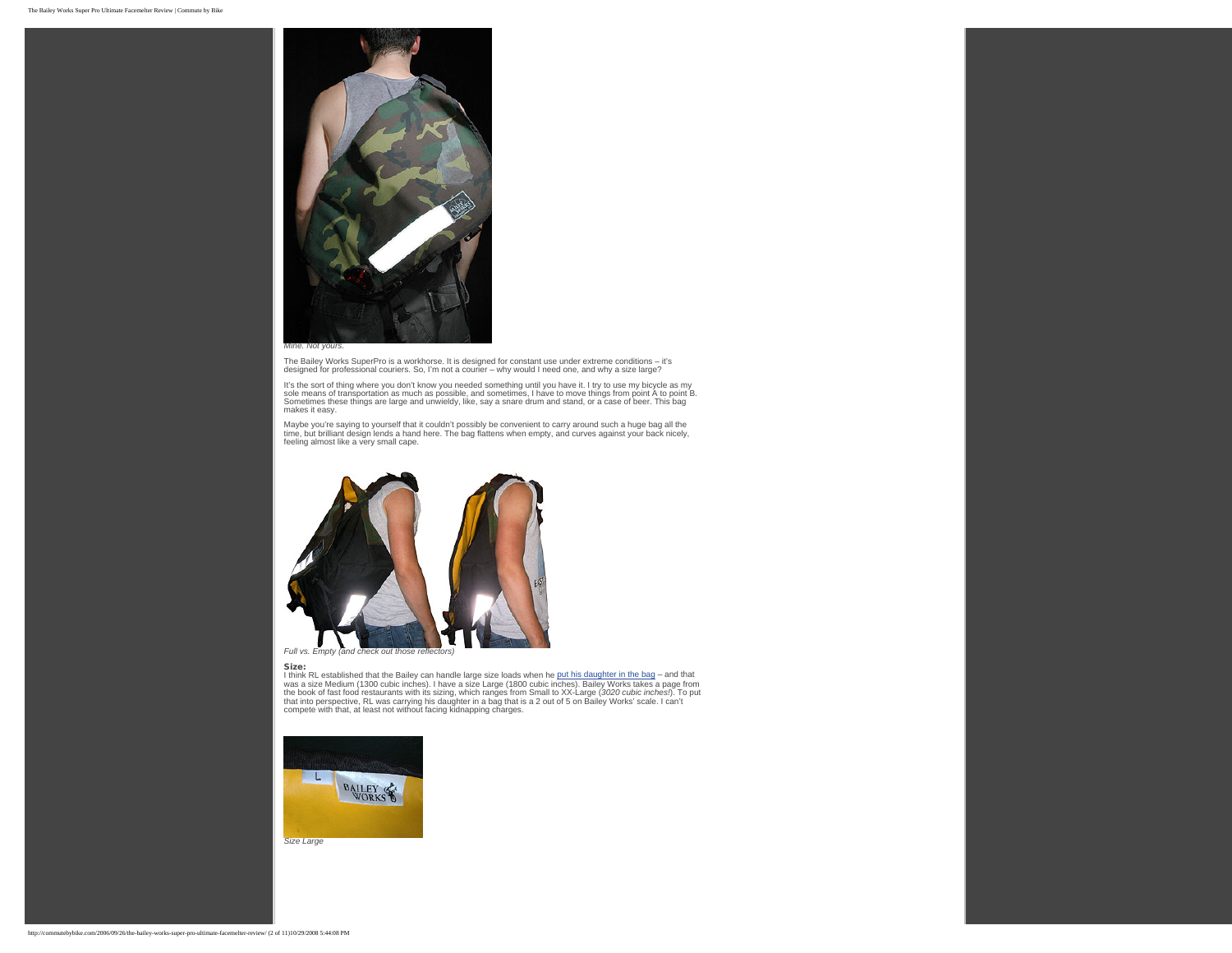

The Bailey Works SuperPro is a workhorse. It is designed for constant use under extreme conditions – it's designed for professional couriers. So, I'm not a courier – why would I need one, and why a size large?

It's the sort of thing where you don't know you needed something until you have it. I try to use my bicycle as my<br>sole means of transportation as much as possible, and sometimes, I have to move things from point A to point

Maybe you're saying to yourself that it couldn't possibly be convenient to carry around such a huge bag all the<br>time, but brilliant design lends a hand here. The bag flattens when empty, and curves against your back nicely



Size:<br>I think RL established that the Bailey can handle large size loads when he [put his daughter in the bag](http://commutebybike.com/2006/02/09/baily-works-bag/) – and that<br>I think RL established that the Bailey can handle large is Large (1800 cubic inches). Bailey Works tak



*Size Large*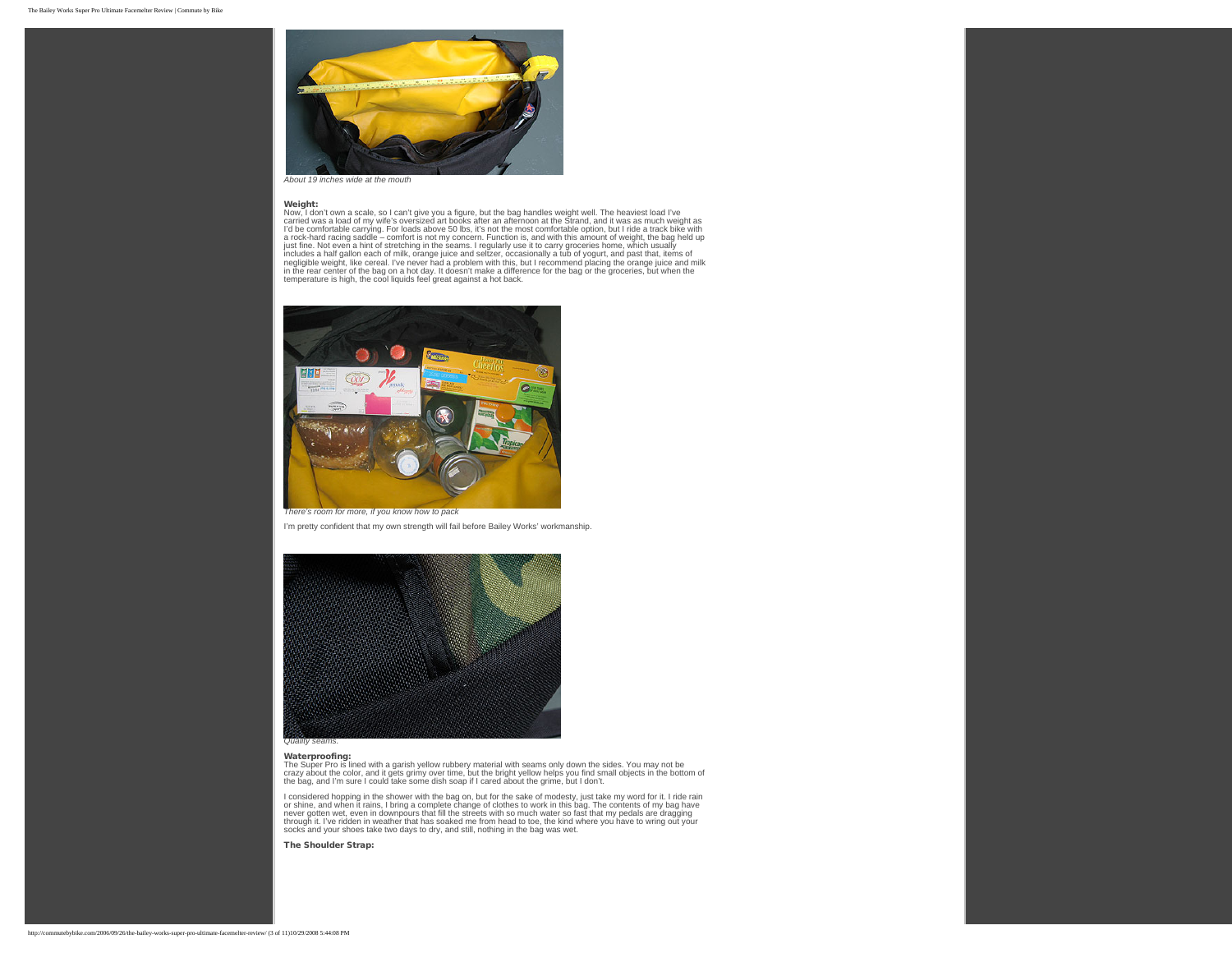

*About 19 inches wide at the mouth*

Weight:<br>
Weight:<br>
Now, I don't own a scale, so I can't give you a figure, but the bag handles weight well. The heaviest load I've<br>
carried was a load of my wife's oversized art books after an afternoon at the Strand, and i



*There's room for more, if you know how to pack*

I'm pretty confident that my own strength will fail before Bailey Works' workmanship.



Waterproofing:<br>The Super Pro is lined with a garish yellow rubbery material with seams only down the sides. You may not be<br>crazy about the color, and it gets grimy over time, but the bright yellow helps you find small obje

I considered hopping in the shower with the bag on, but for the sake of modesty, just take my word for it. I ride rain or shine, and when it rains, I bring a complete change of clothes to work in this bag. The contents of my bag have<br>never gotten wet, even in downpours that fill the streets with so much water so fast that my pedals are dra socks and your shoes take two days to dry, and still, nothing in the bag was wet.

The Shoulder Strap: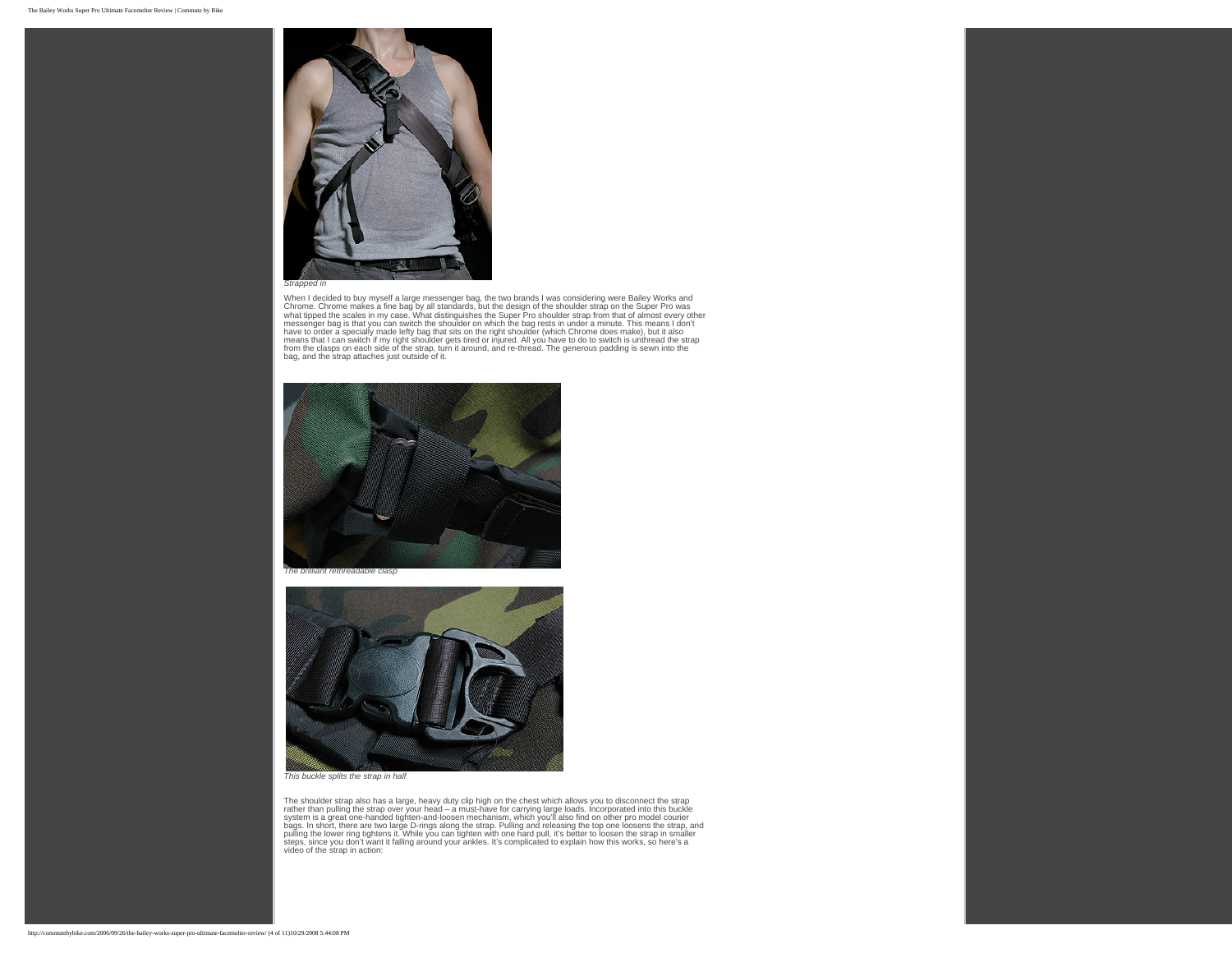

When I decided to buy myself a large messenger bag, the two brands I was considering were Bailey Works and<br>Chrome. Chrome makes a fine bag by all standards, but the design of the shoulder strap on the Super Pro was<br>what ti messenger bag is that you can switch the shoulder on which the bag rests in under a minute. This means I don't have to order a specially made lefty bag that sits on the right shoulder (which Chrome does make), but it also<br>means that I can switch if my right shoulder gets tired or injured. All you have to do to switch is unthread th





*This buckle splits the strap in half*

The shoulder strap also has a large, heavy duty clip high on the chest which allows you to disconnect the strap<br>rather than pulling the strap over your head – a must-have for carrying large loads. Incorporated into this bu video of the strap in action: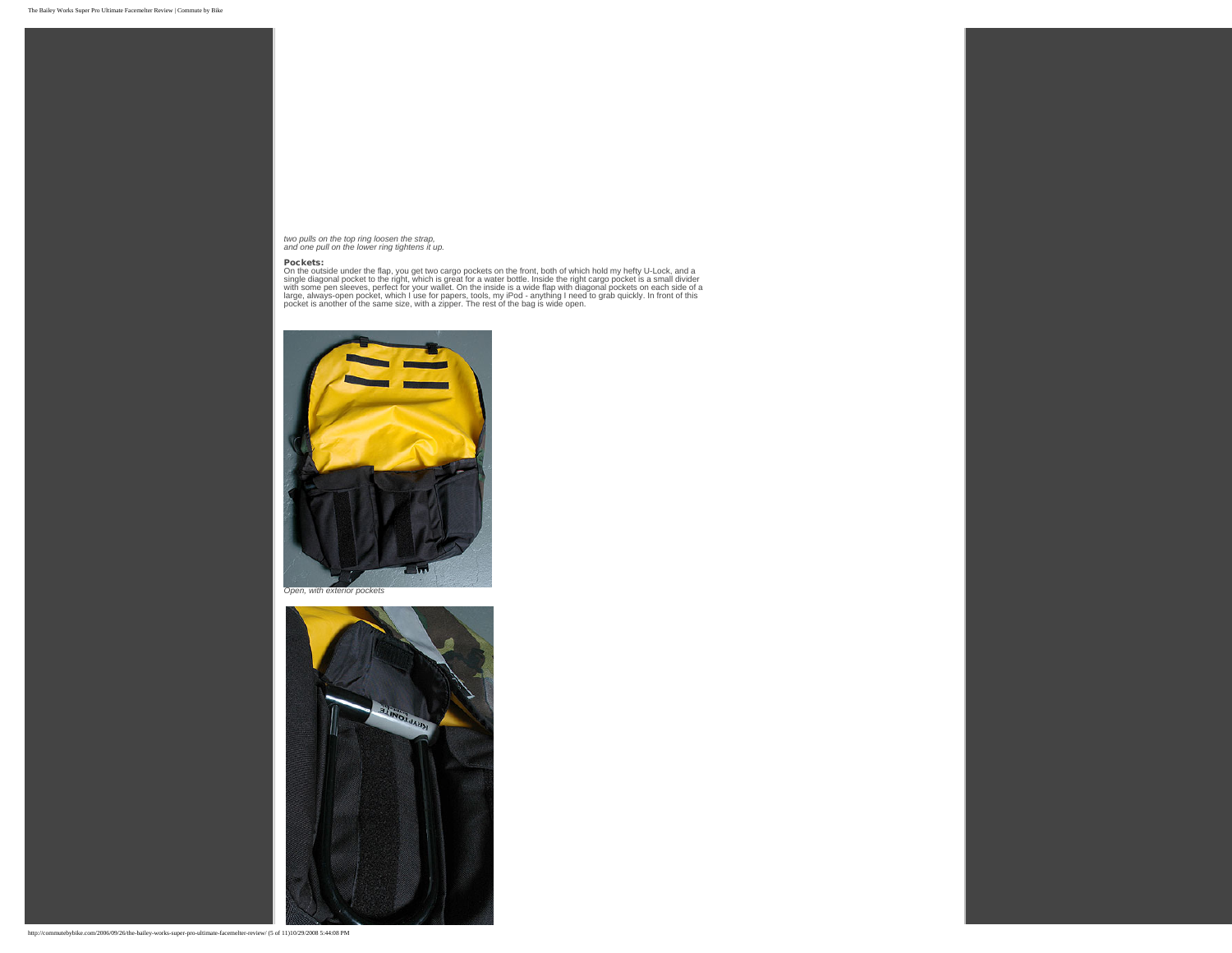*two pulls on the top ring loosen the strap, and one pull on the lower ring tightens it up.*

**Pockets:**<br>On the outside under the flap, you get two cargo pockets on the front, both of which hold my hefty U-Lock, and a<br>Single diagonal pocket to the right, which is great for a water bottle. Inside the right cargo poc





http://commutebybike.com/2006/09/26/the-bailey-works-super-pro-ultimate-facemelter-review/ (5 of 11)10/29/2008 5:44:08 PM